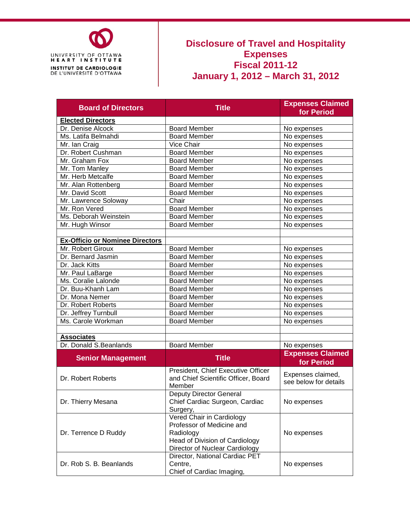

## **Disclosure of Travel and Hospitality Expenses Fiscal 2011-12 January 1, 2012 – March 31, 2012**

| <b>Board of Directors</b>              | <b>Title</b>                                           | <b>Expenses Claimed</b><br>for Period |  |  |
|----------------------------------------|--------------------------------------------------------|---------------------------------------|--|--|
| <b>Elected Directors</b>               |                                                        |                                       |  |  |
| Dr. Denise Alcock                      | <b>Board Member</b>                                    | No expenses                           |  |  |
| Ms. Latifa Belmahdi                    | Board Member                                           | No expenses                           |  |  |
| Mr. Ian Craig                          | Vice Chair                                             | No expenses                           |  |  |
| Dr. Robert Cushman                     | <b>Board Member</b>                                    | No expenses                           |  |  |
| Mr. Graham Fox                         | <b>Board Member</b>                                    | No expenses                           |  |  |
| Mr. Tom Manley                         | <b>Board Member</b>                                    | No expenses                           |  |  |
| Mr. Herb Metcalfe                      | <b>Board Member</b>                                    | No expenses                           |  |  |
| Mr. Alan Rottenberg                    | <b>Board Member</b>                                    | No expenses                           |  |  |
| Mr. David Scott                        | <b>Board Member</b>                                    | No expenses                           |  |  |
| Mr. Lawrence Soloway                   | Chair                                                  | No expenses                           |  |  |
| Mr. Ron Vered                          | <b>Board Member</b>                                    | No expenses                           |  |  |
| Ms. Deborah Weinstein                  | <b>Board Member</b>                                    | No expenses                           |  |  |
| Mr. Hugh Winsor                        | <b>Board Member</b>                                    | No expenses                           |  |  |
| <b>Ex-Officio or Nominee Directors</b> |                                                        |                                       |  |  |
| Mr. Robert Giroux                      | <b>Board Member</b>                                    | No expenses                           |  |  |
| Dr. Bernard Jasmin                     | <b>Board Member</b>                                    | No expenses                           |  |  |
| Dr. Jack Kitts                         | <b>Board Member</b>                                    | No expenses                           |  |  |
| Mr. Paul LaBarge                       | <b>Board Member</b>                                    | No expenses                           |  |  |
| Ms. Coralie Lalonde                    | <b>Board Member</b>                                    | No expenses                           |  |  |
| Dr. Buu-Khanh Lam                      | <b>Board Member</b>                                    | No expenses                           |  |  |
| Dr. Mona Nemer                         | <b>Board Member</b>                                    | No expenses                           |  |  |
| Dr. Robert Roberts                     | <b>Board Member</b>                                    | No expenses                           |  |  |
| Dr. Jeffrey Turnbull                   | <b>Board Member</b>                                    | No expenses                           |  |  |
| Ms. Carole Workman                     | <b>Board Member</b>                                    | No expenses                           |  |  |
|                                        |                                                        |                                       |  |  |
| <b>Associates</b>                      |                                                        |                                       |  |  |
| Dr. Donald S.Beanlands                 | <b>Board Member</b>                                    | No expenses                           |  |  |
|                                        | <b>Title</b>                                           | <b>Expenses Claimed</b>               |  |  |
| <b>Senior Management</b>               |                                                        | for Period                            |  |  |
|                                        | President, Chief Executive Officer                     | Expenses claimed,                     |  |  |
| Dr. Robert Roberts                     | and Chief Scientific Officer, Board                    | see below for details                 |  |  |
|                                        | Member                                                 |                                       |  |  |
|                                        | <b>Deputy Director General</b>                         |                                       |  |  |
| Dr. Thierry Mesana                     | Chief Cardiac Surgeon, Cardiac                         | No expenses                           |  |  |
|                                        | Surgery,                                               |                                       |  |  |
|                                        | Vered Chair in Cardiology<br>Professor of Medicine and |                                       |  |  |
| Dr. Terrence D Ruddy                   | Radiology                                              |                                       |  |  |
|                                        | Head of Division of Cardiology                         | No expenses                           |  |  |
|                                        | Director of Nuclear Cardiology                         |                                       |  |  |
|                                        | Director, National Cardiac PET                         |                                       |  |  |
| Dr. Rob S. B. Beanlands                | Centre,                                                | No expenses                           |  |  |
|                                        | Chief of Cardiac Imaging,                              |                                       |  |  |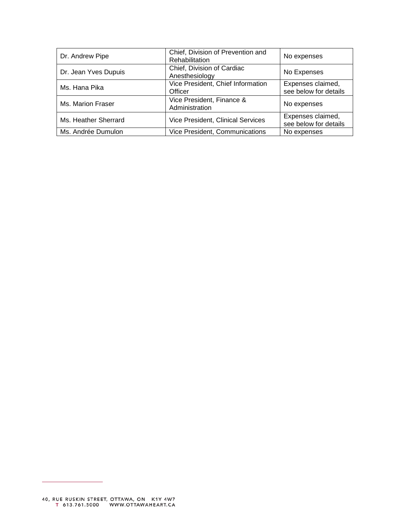| Dr. Andrew Pipe      | Chief, Division of Prevention and<br><b>Rehabilitation</b> | No expenses                                |
|----------------------|------------------------------------------------------------|--------------------------------------------|
| Dr. Jean Yves Dupuis | Chief, Division of Cardiac<br>Anesthesiology               | No Expenses                                |
| Ms. Hana Pika        | Vice President, Chief Information<br>Officer               | Expenses claimed,<br>see below for details |
| Ms. Marion Fraser    | Vice President, Finance &<br>Administration                | No expenses                                |
| Ms. Heather Sherrard | <b>Vice President, Clinical Services</b>                   | Expenses claimed,<br>see below for details |
| Ms. Andrée Dumulon   | Vice President, Communications                             | No expenses                                |

 $\overline{\phantom{0}}$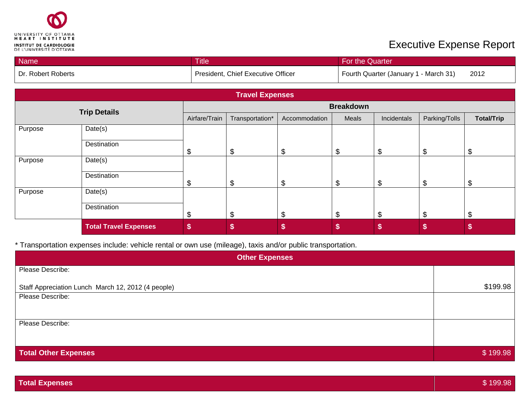

Purpose Date(s)

**Destination** 

## **Executive Expense Report**

| Name                |                        | <b>Title</b><br>For the Quarter |                                    |               |       |                                       |               |                   |
|---------------------|------------------------|---------------------------------|------------------------------------|---------------|-------|---------------------------------------|---------------|-------------------|
| Dr. Robert Roberts  |                        |                                 | President, Chief Executive Officer |               |       | Fourth Quarter (January 1 - March 31) |               | 2012              |
|                     | <b>Travel Expenses</b> |                                 |                                    |               |       |                                       |               |                   |
| <b>Trip Details</b> |                        |                                 | <b>Breakdown</b>                   |               |       |                                       |               |                   |
|                     |                        | Airfare/Train                   | Transportation*                    | Accommodation | Meals | Incidentals                           | Parking/Tolls | <b>Total/Trip</b> |
| Purpose             | Date(s)                |                                 |                                    |               |       |                                       |               |                   |
|                     | Destination            | \$                              | \$                                 | \$            | \$    | \$                                    | \$            |                   |
| Purpose             | Date(s)                |                                 |                                    |               |       |                                       |               |                   |
|                     | Destination            | \$                              | \$                                 | \$            | \$    | \$                                    | \$            |                   |

\* Transportation expenses include: vehicle rental or own use (mileage), taxis and/or public transportation.

| <b>Other Expenses</b>                              |          |  |  |  |  |
|----------------------------------------------------|----------|--|--|--|--|
| Please Describe:                                   |          |  |  |  |  |
| Staff Appreciation Lunch March 12, 2012 (4 people) | \$199.98 |  |  |  |  |
| Please Describe:                                   |          |  |  |  |  |
|                                                    |          |  |  |  |  |
| Please Describe:                                   |          |  |  |  |  |
|                                                    |          |  |  |  |  |
| <b>Total Other Expenses</b>                        | \$199.98 |  |  |  |  |

**Total Travel Expenses \$ \$ \$ \$ \$ \$ \$**

\$ \$ \$ \$ \$ \$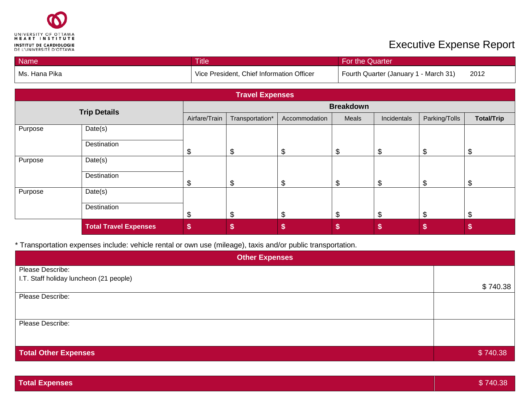

## **Executive Expense Report**

| Name          |                              | <b>Title</b>  |                                           |               | For the Quarter |                                       |               |                   |  |
|---------------|------------------------------|---------------|-------------------------------------------|---------------|-----------------|---------------------------------------|---------------|-------------------|--|
| Ms. Hana Pika |                              |               | Vice President, Chief Information Officer |               |                 | Fourth Quarter (January 1 - March 31) |               |                   |  |
|               |                              |               |                                           |               |                 |                                       |               |                   |  |
|               |                              |               | <b>Travel Expenses</b>                    |               |                 |                                       |               |                   |  |
|               | <b>Trip Details</b>          |               | <b>Breakdown</b>                          |               |                 |                                       |               |                   |  |
|               |                              | Airfare/Train | Transportation*                           | Accommodation | Meals           | Incidentals                           | Parking/Tolls | <b>Total/Trip</b> |  |
| Purpose       | Date(s)                      |               |                                           |               |                 |                                       |               |                   |  |
|               | Destination                  | \$            | \$                                        | \$            | \$              | \$                                    | \$            | \$                |  |
| Purpose       | Date(s)                      |               |                                           |               |                 |                                       |               |                   |  |
|               | Destination                  | \$            | \$                                        | \$            | \$              | \$                                    | \$            | \$                |  |
| Purpose       | Date(s)                      |               |                                           |               |                 |                                       |               |                   |  |
|               | Destination                  | \$            | \$                                        | \$            | \$              | \$                                    | \$            | \$                |  |
|               | <b>Total Travel Expenses</b> | \$            | \$                                        | \$            | \$              | \$                                    | \$            | \$                |  |

\* Transportation expenses include: vehicle rental or own use (mileage), taxis and/or public transportation.

| <b>Other Expenses</b>                   |          |  |  |  |
|-----------------------------------------|----------|--|--|--|
| Please Describe:                        |          |  |  |  |
| I.T. Staff holiday luncheon (21 people) |          |  |  |  |
|                                         | \$740.38 |  |  |  |
| Please Describe:                        |          |  |  |  |
|                                         |          |  |  |  |
|                                         |          |  |  |  |
| Please Describe:                        |          |  |  |  |
|                                         |          |  |  |  |
|                                         |          |  |  |  |
| <b>Total Other Expenses</b>             | \$740.38 |  |  |  |